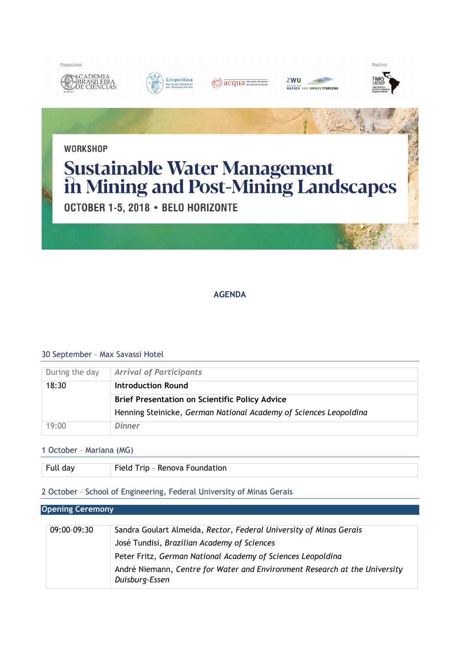











Partner

**WORKSHOP** 

# **Sustainable Water Management<br>in Mining and Post-Mining Landscapes**

OCTOBER 1-5, 2018 · BELO HORIZONTE

# **AGENDA**

# 30 September – Max Savassi Hotel

| During the day | <b>Arrival of Participants</b>                                    |
|----------------|-------------------------------------------------------------------|
| 18:30          | Introduction Round                                                |
|                | <b>Brief Presentation on Scientific Policy Advice</b>             |
|                | Henning Steinicke, German National Academy of Sciences Leopoldina |
| 19:00          | Dinner                                                            |

# 1 October – Mariana (MG)

| Full day | Field Trip - Renova Foundation |
|----------|--------------------------------|

# 2 October – School of Engineering, Federal University of Minas Gerais

#### **Opening Ceremony**

| Sandra Goulart Almeida, Rector, Federal University of Minas Gerais                           |
|----------------------------------------------------------------------------------------------|
| José Tundisi, Brazilian Academy of Sciences                                                  |
| Peter Fritz, German National Academy of Sciences Leopoldina                                  |
| André Niemann, Centre for Water and Environment Research at the University<br>Duisburg-Essen |
|                                                                                              |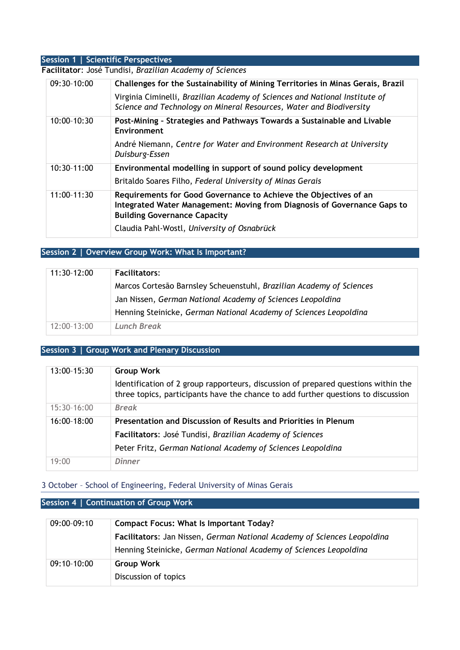# **Session 1 | Scientific Perspectives**

#### **Facilitator**: José Tundisi, *Brazilian Academy of Sciences*

| 09:30-10:00 | Challenges for the Sustainability of Mining Territories in Minas Gerais, Brazil<br>Virginia Ciminelli, Brazilian Academy of Sciences and National Institute of<br>Science and Technology on Mineral Resources, Water and Biodiversity |
|-------------|---------------------------------------------------------------------------------------------------------------------------------------------------------------------------------------------------------------------------------------|
| 10:00-10:30 | Post-Mining - Strategies and Pathways Towards a Sustainable and Livable<br>Environment                                                                                                                                                |
|             | André Niemann, Centre for Water and Environment Research at University<br>Duisburg-Essen                                                                                                                                              |
| 10:30-11:00 | Environmental modelling in support of sound policy development                                                                                                                                                                        |
|             | Britaldo Soares Filho, Federal University of Minas Gerais                                                                                                                                                                             |
| 11:00-11:30 | Requirements for Good Governance to Achieve the Objectives of an<br>Integrated Water Management: Moving from Diagnosis of Governance Gaps to<br><b>Building Governance Capacity</b>                                                   |
|             | Claudia Pahl-Wostl, University of Osnabrück                                                                                                                                                                                           |

# **Session 2 | Overview Group Work: What Is Important?**

| 11:30-12:00 | <b>Facilitators:</b>                                                 |
|-------------|----------------------------------------------------------------------|
|             | Marcos Cortesão Barnsley Scheuenstuhl, Brazilian Academy of Sciences |
|             | Jan Nissen, German National Academy of Sciences Leopoldina           |
|             | Henning Steinicke, German National Academy of Sciences Leopoldina    |
| 12:00-13:00 | <b>Lunch Break</b>                                                   |

# **Session 3 | Group Work and Plenary Discussion**

| 13:00-15:30 | <b>Group Work</b>                                                                                                                                                       |
|-------------|-------------------------------------------------------------------------------------------------------------------------------------------------------------------------|
|             | Identification of 2 group rapporteurs, discussion of prepared questions within the<br>three topics, participants have the chance to add further questions to discussion |
| 15:30-16:00 | <b>Break</b>                                                                                                                                                            |
| 16:00-18:00 | Presentation and Discussion of Results and Priorities in Plenum                                                                                                         |
|             | Facilitators: José Tundisi, Brazilian Academy of Sciences                                                                                                               |
|             | Peter Fritz, German National Academy of Sciences Leopoldina                                                                                                             |
| 19:00       | <b>Dinner</b>                                                                                                                                                           |

#### 3 October – School of Engineering, Federal University of Minas Gerais

# **Session 4 | Continuation of Group Work**

| 09:00-09:10 | <b>Compact Focus: What Is Important Today?</b>                           |
|-------------|--------------------------------------------------------------------------|
|             | Facilitators: Jan Nissen, German National Academy of Sciences Leopoldina |
|             | Henning Steinicke, German National Academy of Sciences Leopoldina        |
| 09:10-10:00 | <b>Group Work</b>                                                        |
|             | Discussion of topics                                                     |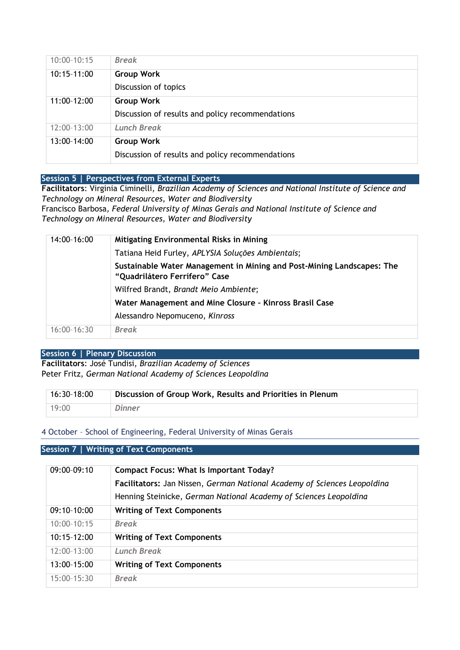| $10:00 - 10:15$ | <b>Break</b>                                     |
|-----------------|--------------------------------------------------|
| 10:15-11:00     | <b>Group Work</b>                                |
|                 | Discussion of topics                             |
| 11:00-12:00     | <b>Group Work</b>                                |
|                 | Discussion of results and policy recommendations |
| 12:00-13:00     | <b>Lunch Break</b>                               |
|                 |                                                  |
| 13:00-14:00     | <b>Group Work</b>                                |

## **Session 5 | Perspectives from External Experts**

**Facilitators**: Virginia Ciminelli, *Brazilian Academy of Sciences and National Institute of Science and Technology on Mineral Resources, Water and Biodiversity*  Francisco Barbosa*, Federal University of Minas Gerais and National Institute of Science and Technology on Mineral Resources, Water and Biodiversity* 

| 14:00-16:00   | <b>Mitigating Environmental Risks in Mining</b>                                                         |
|---------------|---------------------------------------------------------------------------------------------------------|
|               | Tatiana Heid Furley, APLYSIA Soluções Ambientais;                                                       |
|               | Sustainable Water Management in Mining and Post-Mining Landscapes: The<br>"Quadrilátero Ferrífero" Case |
|               | Wilfred Brandt, Brandt Meio Ambiente;                                                                   |
|               | Water Management and Mine Closure - Kinross Brasil Case                                                 |
|               | Alessandro Nepomuceno, Kinross                                                                          |
| $16:00-16:30$ | <b>Break</b>                                                                                            |

## **Session 6 | Plenary Discussion**

**Facilitators**: José Tundisi, *Brazilian Academy of Sciences* Peter Fritz, *German National Academy of Sciences Leopoldina*

| $16:30-18:00$ | Discussion of Group Work, Results and Priorities in Plenum |
|---------------|------------------------------------------------------------|
| 19:00         | Dinner                                                     |

#### 4 October – School of Engineering, Federal University of Minas Gerais

## **Session 7 | Writing of Text Components**

| 09:00-09:10     | <b>Compact Focus: What Is Important Today?</b><br>Facilitators: Jan Nissen, German National Academy of Sciences Leopoldina<br>Henning Steinicke, German National Academy of Sciences Leopoldina |
|-----------------|-------------------------------------------------------------------------------------------------------------------------------------------------------------------------------------------------|
| 09:10-10:00     | <b>Writing of Text Components</b>                                                                                                                                                               |
| $10:00 - 10:15$ | <b>Break</b>                                                                                                                                                                                    |
| $10:15-12:00$   | <b>Writing of Text Components</b>                                                                                                                                                               |
| $12:00-13:00$   | <b>Lunch Break</b>                                                                                                                                                                              |
| 13:00-15:00     | <b>Writing of Text Components</b>                                                                                                                                                               |
| $15:00-15:30$   | <b>Break</b>                                                                                                                                                                                    |